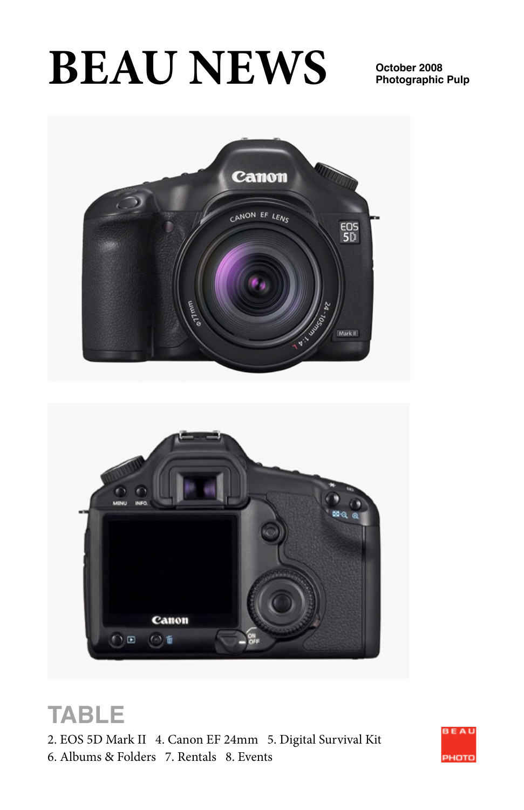# **BEAU NEWS**

**Photographic Pulp**



# **TABLE**

2. EOS 5D Mark II 4. Canon EF 24mm 5. Digital Survival Kit 6. Albums & Folders 7. Rentals 8. Events

Canon

⊙●

○回

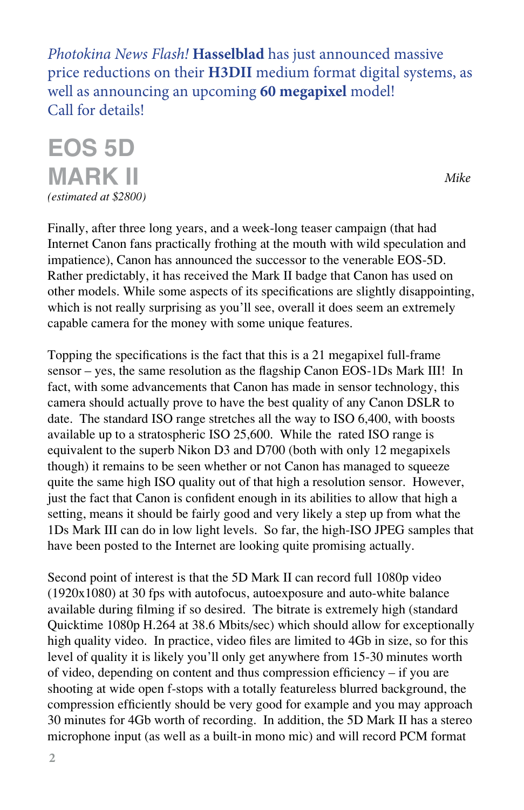*Photokina News Flash!* **Hasselblad** has just announced massive price reductions on their **H3DII** medium format digital systems, as well as announcing an upcoming **60 megapixel** model! Call for details!

**EOS 5D MARK II** *(estimated at \$2800)*

*Mike*

Finally, after three long years, and a week-long teaser campaign (that had Internet Canon fans practically frothing at the mouth with wild speculation and impatience), Canon has announced the successor to the venerable EOS-5D. Rather predictably, it has received the Mark II badge that Canon has used on other models. While some aspects of its specifications are slightly disappointing, which is not really surprising as you'll see, overall it does seem an extremely capable camera for the money with some unique features.

Topping the specifications is the fact that this is a 21 megapixel full-frame sensor – yes, the same resolution as the flagship Canon EOS-1Ds Mark III! In fact, with some advancements that Canon has made in sensor technology, this camera should actually prove to have the best quality of any Canon DSLR to date. The standard ISO range stretches all the way to ISO 6,400, with boosts available up to a stratospheric ISO 25,600. While the rated ISO range is equivalent to the superb Nikon D3 and D700 (both with only 12 megapixels though) it remains to be seen whether or not Canon has managed to squeeze quite the same high ISO quality out of that high a resolution sensor. However, just the fact that Canon is confident enough in its abilities to allow that high a setting, means it should be fairly good and very likely a step up from what the 1Ds Mark III can do in low light levels. So far, the high-ISO JPEG samples that have been posted to the Internet are looking quite promising actually.

Second point of interest is that the 5D Mark II can record full 1080p video (1920x1080) at 30 fps with autofocus, autoexposure and auto-white balance available during filming if so desired. The bitrate is extremely high (standard Quicktime 1080p H.264 at 38.6 Mbits/sec) which should allow for exceptionally high quality video. In practice, video files are limited to 4Gb in size, so for this level of quality it is likely you'll only get anywhere from 15-30 minutes worth of video, depending on content and thus compression efficiency – if you are shooting at wide open f-stops with a totally featureless blurred background, the compression efficiently should be very good for example and you may approach 30 minutes for 4Gb worth of recording. In addition, the 5D Mark II has a stereo microphone input (as well as a built-in mono mic) and will record PCM format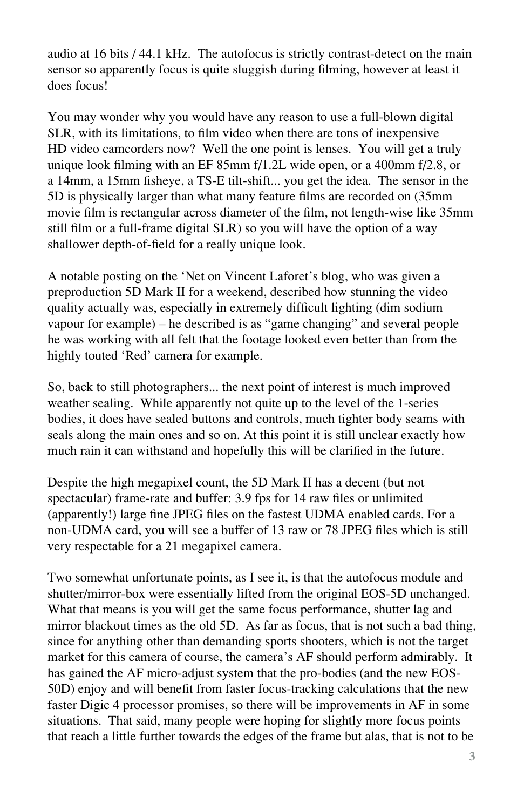audio at 16 bits / 44.1 kHz. The autofocus is strictly contrast-detect on the main sensor so apparently focus is quite sluggish during filming, however at least it does focus!

You may wonder why you would have any reason to use a full-blown digital SLR, with its limitations, to film video when there are tons of inexpensive HD video camcorders now? Well the one point is lenses. You will get a truly unique look filming with an EF 85mm f/1.2L wide open, or a 400mm f/2.8, or a 14mm, a 15mm fisheye, a TS-E tilt-shift... you get the idea. The sensor in the 5D is physically larger than what many feature films are recorded on (35mm movie film is rectangular across diameter of the film, not length-wise like 35mm still film or a full-frame digital SLR) so you will have the option of a way shallower depth-of-field for a really unique look.

A notable posting on the 'Net on Vincent Laforet's blog, who was given a preproduction 5D Mark II for a weekend, described how stunning the video quality actually was, especially in extremely difficult lighting (dim sodium vapour for example) – he described is as "game changing" and several people he was working with all felt that the footage looked even better than from the highly touted 'Red' camera for example.

So, back to still photographers... the next point of interest is much improved weather sealing. While apparently not quite up to the level of the 1-series bodies, it does have sealed buttons and controls, much tighter body seams with seals along the main ones and so on. At this point it is still unclear exactly how much rain it can withstand and hopefully this will be clarified in the future.

Despite the high megapixel count, the 5D Mark II has a decent (but not spectacular) frame-rate and buffer: 3.9 fps for 14 raw files or unlimited (apparently!) large fine JPEG files on the fastest UDMA enabled cards. For a non-UDMA card, you will see a buffer of 13 raw or 78 JPEG files which is still very respectable for a 21 megapixel camera.

Two somewhat unfortunate points, as I see it, is that the autofocus module and shutter/mirror-box were essentially lifted from the original EOS-5D unchanged. What that means is you will get the same focus performance, shutter lag and mirror blackout times as the old 5D. As far as focus, that is not such a bad thing, since for anything other than demanding sports shooters, which is not the target market for this camera of course, the camera's AF should perform admirably. It has gained the AF micro-adjust system that the pro-bodies (and the new EOS-50D) enjoy and will benefit from faster focus-tracking calculations that the new faster Digic 4 processor promises, so there will be improvements in AF in some situations. That said, many people were hoping for slightly more focus points that reach a little further towards the edges of the frame but alas, that is not to be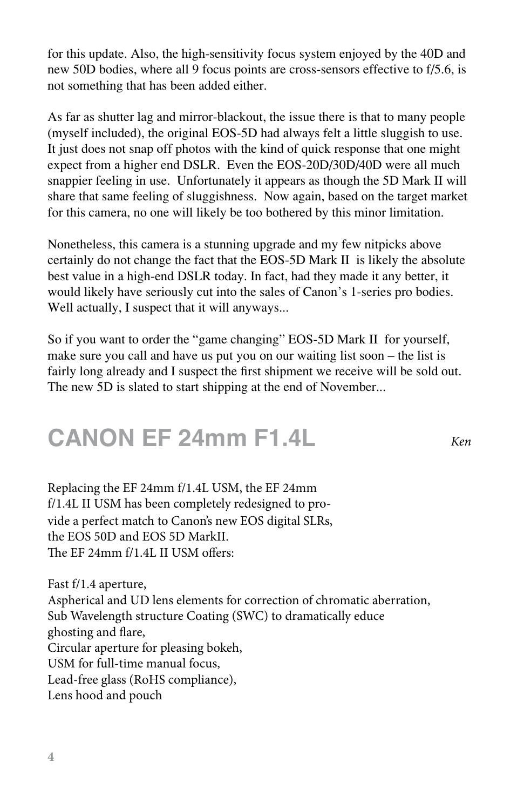for this update. Also, the high-sensitivity focus system enjoyed by the 40D and new 50D bodies, where all 9 focus points are cross-sensors effective to f/5.6, is not something that has been added either.

As far as shutter lag and mirror-blackout, the issue there is that to many people (myself included), the original EOS-5D had always felt a little sluggish to use. It just does not snap off photos with the kind of quick response that one might expect from a higher end DSLR. Even the EOS-20D/30D/40D were all much snappier feeling in use. Unfortunately it appears as though the 5D Mark II will share that same feeling of sluggishness. Now again, based on the target market for this camera, no one will likely be too bothered by this minor limitation.

Nonetheless, this camera is a stunning upgrade and my few nitpicks above certainly do not change the fact that the EOS-5D Mark II is likely the absolute best value in a high-end DSLR today. In fact, had they made it any better, it would likely have seriously cut into the sales of Canon's 1-series pro bodies. Well actually, I suspect that it will anyways...

So if you want to order the "game changing" EOS-5D Mark II for yourself, make sure you call and have us put you on our waiting list soon – the list is fairly long already and I suspect the first shipment we receive will be sold out. The new 5D is slated to start shipping at the end of November...

*Ken*

### **CANON EF 24mm F1.4L**

vide a perfect match to Canon's new EOS digital SLRs, the EOS 50D and EOS 5D MarkII. The EF 24mm f/1.4L II USM offers: Replacing the EF 24mm f/1.4L USM, the EF 24mm f/1.4L II USM has been completely redesigned to pro-

Fast f/1.4 aperture, Aspherical and UD lens elements for correction of chromatic aberration, Sub Wavelength structure Coating (SWC) to dramatically educe ghosting and flare, Circular aperture for pleasing bokeh, USM for full-time manual focus, Lead-free glass (RoHS compliance), Lens hood and pouch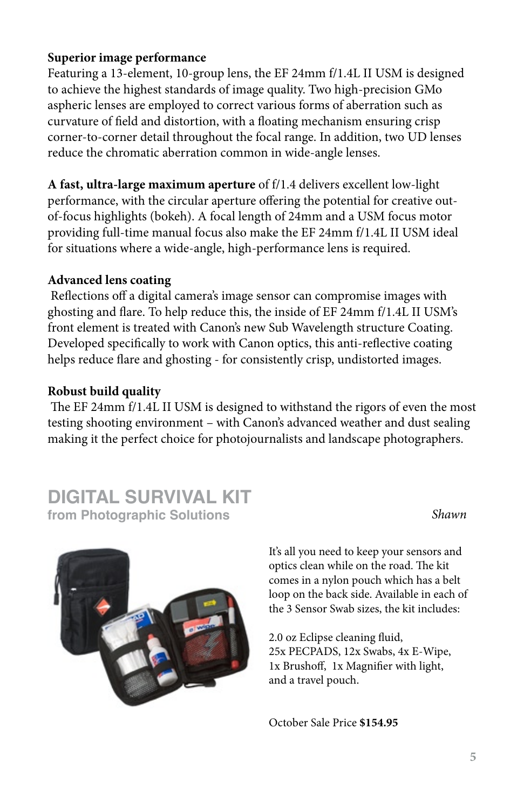#### **Superior image performance**

Featuring a 13-element, 10-group lens, the EF 24mm f/1.4L II USM is designed to achieve the highest standards of image quality. Two high-precision GMo aspheric lenses are employed to correct various forms of aberration such as curvature of field and distortion, with a floating mechanism ensuring crisp corner-to-corner detail throughout the focal range. In addition, two UD lenses reduce the chromatic aberration common in wide-angle lenses.

**A fast, ultra-large maximum aperture** of f/1.4 delivers excellent low-light performance, with the circular aperture offering the potential for creative outof-focus highlights (bokeh). A focal length of 24mm and a USM focus motor providing full-time manual focus also make the EF 24mm f/1.4L II USM ideal for situations where a wide-angle, high-performance lens is required.

### **Advanced lens coating**

 Reflections off a digital camera's image sensor can compromise images with ghosting and flare. To help reduce this, the inside of EF 24mm f/1.4L II USM's front element is treated with Canon's new Sub Wavelength structure Coating. Developed specifically to work with Canon optics, this anti-reflective coating helps reduce flare and ghosting - for consistently crisp, undistorted images.

### **Robust build quality**

 The EF 24mm f/1.4L II USM is designed to withstand the rigors of even the most testing shooting environment – with Canon's advanced weather and dust sealing making it the perfect choice for photojournalists and landscape photographers.

### **DIGITAL SURVIVAL KIT from Photographic Solutions**

*Shawn*



It's all you need to keep your sensors and optics clean while on the road. The kit comes in a nylon pouch which has a belt loop on the back side. Available in each of the 3 Sensor Swab sizes, the kit includes:

2.0 oz Eclipse cleaning fluid, 25x PECPADS, 12x Swabs, 4x E-Wipe, 1x Brushoff, 1x Magnifier with light, and a travel pouch.

October Sale Price **\$154.95**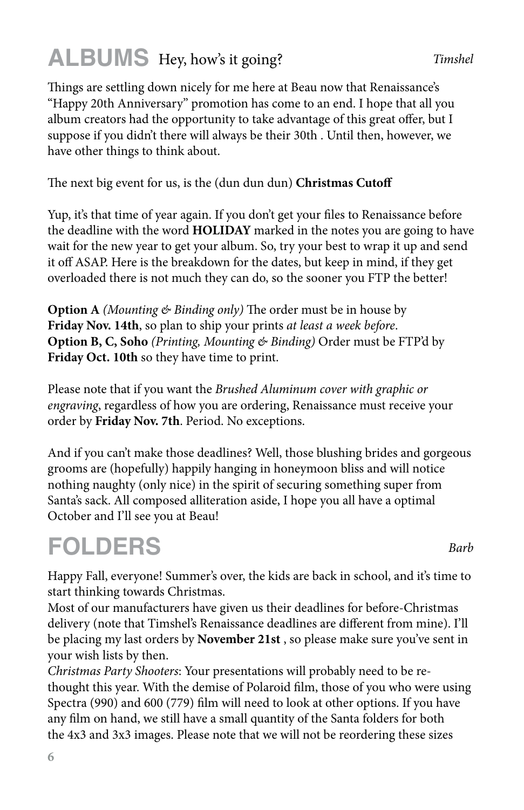### **ALBUMS** Hey, how's it going?

Things are settling down nicely for me here at Beau now that Renaissance's "Happy 20th Anniversary" promotion has come to an end. I hope that all you album creators had the opportunity to take advantage of this great offer, but I suppose if you didn't there will always be their 30th . Until then, however, we have other things to think about.

### The next big event for us, is the (dun dun dun) **Christmas Cutoff**

Yup, it's that time of year again. If you don't get your files to Renaissance before the deadline with the word **HOLIDAY** marked in the notes you are going to have wait for the new year to get your album. So, try your best to wrap it up and send it off ASAP. Here is the breakdown for the dates, but keep in mind, if they get overloaded there is not much they can do, so the sooner you FTP the better!

**Option A** *(Mounting & Binding only)* The order must be in house by **Friday Nov. 14th**, so plan to ship your prints *at least a week before*. **Option B, C, Soho** *(Printing, Mounting & Binding)* Order must be FTP'd by **Friday Oct. 10th** so they have time to print.

Please note that if you want the *Brushed Aluminum cover with graphic or engraving*, regardless of how you are ordering, Renaissance must receive your order by **Friday Nov. 7th**. Period. No exceptions.

And if you can't make those deadlines? Well, those blushing brides and gorgeous grooms are (hopefully) happily hanging in honeymoon bliss and will notice nothing naughty (only nice) in the spirit of securing something super from Santa's sack. All composed alliteration aside, I hope you all have a optimal October and I'll see you at Beau!

# **FOLDERS**

Happy Fall, everyone! Summer's over, the kids are back in school, and it's time to start thinking towards Christmas.

Most of our manufacturers have given us their deadlines for before-Christmas delivery (note that Timshel's Renaissance deadlines are different from mine). I'll be placing my last orders by **November 21st** , so please make sure you've sent in your wish lists by then.

*Christmas Party Shooters*: Your presentations will probably need to be rethought this year. With the demise of Polaroid film, those of you who were using Spectra (990) and 600 (779) film will need to look at other options. If you have any film on hand, we still have a small quantity of the Santa folders for both the 4x3 and 3x3 images. Please note that we will not be reordering these sizes

*Barb*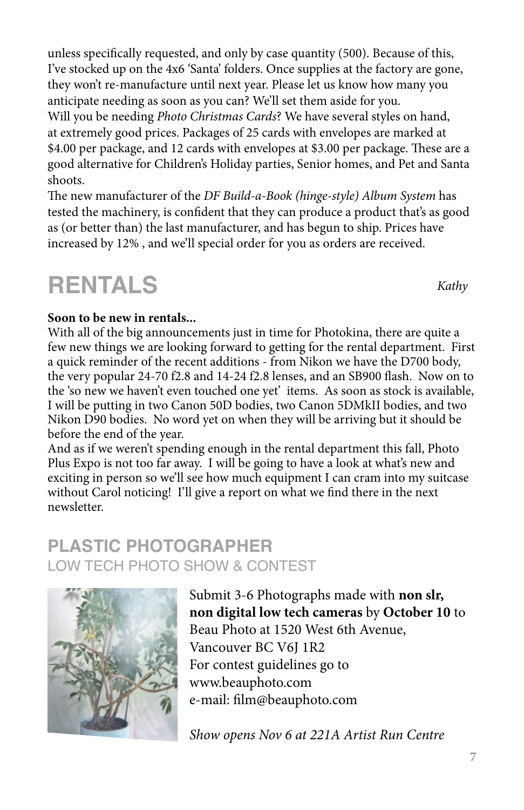unless specifically requested, and only by case quantity (500). Because of this, I've stocked up on the 4x6 'Santa' folders. Once supplies at the factory are gone, they won't re-manufacture until next year. Please let us know how many you anticipate needing as soon as you can? We'll set them aside for you. Will you be needing *Photo Christmas Cards*? We have several styles on hand, at extremely good prices. Packages of 25 cards with envelopes are marked at \$4.00 per package, and 12 cards with envelopes at \$3.00 per package. These are a good alternative for Children's Holiday parties, Senior homes, and Pet and Santa shoots.

The new manufacturer of the *DF Build-a-Book (hinge-style) Album System* has tested the machinery, is confident that they can produce a product that's as good as (or better than) the last manufacturer, and has begun to ship. Prices have increased by 12% , and we'll special order for you as orders are received.

### **RENTALS**

### **Soon to be new in rentals...**

With all of the big announcements just in time for Photokina, there are quite a few new things we are looking forward to getting for the rental department. First a quick reminder of the recent additions - from Nikon we have the D700 body, the very popular 24-70 f2.8 and 14-24 f2.8 lenses, and an SB900 flash. Now on to the 'so new we haven't even touched one yet' items. As soon as stock is available, I will be putting in two Canon 50D bodies, two Canon 5DMkII bodies, and two Nikon D90 bodies. No word yet on when they will be arriving but it should be before the end of the year.

And as if we weren't spending enough in the rental department this fall, Photo Plus Expo is not too far away. I will be going to have a look at what's new and exciting in person so we'll see how much equipment I can cram into my suitcase without Carol noticing! I'll give a report on what we find there in the next newsletter.

### **PLASTIC PHOTOGRAPHER** LOW TECH PHOTO SHOW & CONTEST



Submit 3-6 Photographs made with **non slr, non digital low tech cameras** by **October 10** to Beau Photo at 1520 West 6th Avenue, Vancouver BC V6J 1R2 For contest guidelines go to www.beauphoto.com e-mail: film@beauphoto.com

*Show opens Nov 6 at 221A Artist Run Centre*

*Kathy*